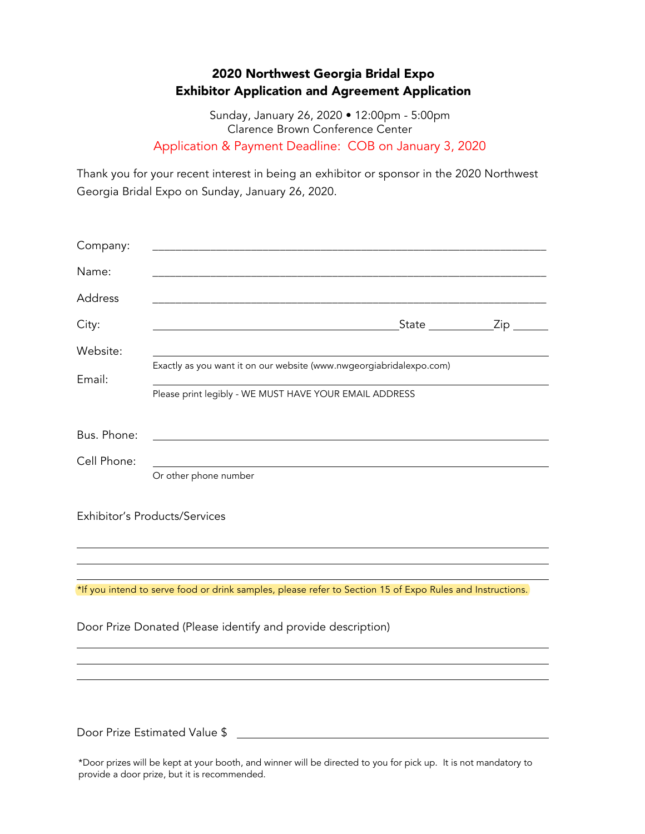## 2020 Northwest Georgia Bridal Expo Exhibitor Application and Agreement Application

Sunday, January 26, 2020 • 12:00pm - 5:00pm Clarence Brown Conference Center Application & Payment Deadline: COB on January 3, 2020

Thank you for your recent interest in being an exhibitor or sponsor in the 2020 Northwest Georgia Bridal Expo on Sunday, January 26, 2020.

| Company:    |                                                                                                           |
|-------------|-----------------------------------------------------------------------------------------------------------|
| Name:       |                                                                                                           |
| Address     |                                                                                                           |
| City:       | State ______________Zip _                                                                                 |
| Website:    |                                                                                                           |
| Email:      | Exactly as you want it on our website (www.nwgeorgiabridalexpo.com)                                       |
|             | Please print legibly - WE MUST HAVE YOUR EMAIL ADDRESS                                                    |
| Bus. Phone: |                                                                                                           |
| Cell Phone: |                                                                                                           |
|             | Or other phone number                                                                                     |
|             | Exhibitor's Products/Services                                                                             |
|             |                                                                                                           |
|             | *If you intend to serve food or drink samples, please refer to Section 15 of Expo Rules and Instructions. |
|             | Door Prize Donated (Please identify and provide description)                                              |
|             |                                                                                                           |
|             |                                                                                                           |
|             |                                                                                                           |
|             | Door Prize Estimated Value \$                                                                             |

\*Door prizes will be kept at your booth, and winner will be directed to you for pick up. It is not mandatory to provide a door prize, but it is recommended.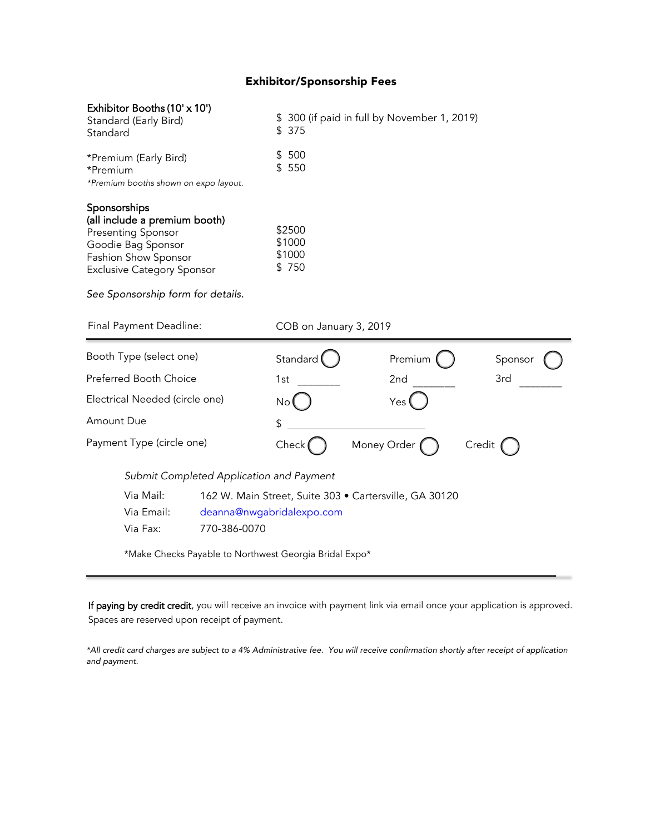### Exhibitor/Sponsorship Fees

| Exhibitor Booths (10' x 10')<br>Standard (Early Bird)<br>Standard                                                                                                                           |                                                        | \$300 (if paid in full by November 1, 2019)<br>\$<br>375 |             |         |        |  |
|---------------------------------------------------------------------------------------------------------------------------------------------------------------------------------------------|--------------------------------------------------------|----------------------------------------------------------|-------------|---------|--------|--|
| *Premium (Early Bird)<br>*Premium<br>*Premium booths shown on expo layout.                                                                                                                  |                                                        | 500<br>\$<br>550<br>\$                                   |             |         |        |  |
| Sponsorships<br>(all include a premium booth)<br>Presenting Sponsor<br>Goodie Bag Sponsor<br>Fashion Show Sponsor<br><b>Exclusive Category Sponsor</b><br>See Sponsorship form for details. | \$2500<br>\$1000<br>\$1000<br>\$750                    |                                                          |             |         |        |  |
| Final Payment Deadline:                                                                                                                                                                     | COB on January 3, 2019                                 |                                                          |             |         |        |  |
| Booth Type (select one)                                                                                                                                                                     | Standard                                               |                                                          | Premium     | Sponsor |        |  |
| Preferred Booth Choice                                                                                                                                                                      |                                                        | 1st                                                      |             | 2nd     | 3rd    |  |
| Electrical Needed (circle one)                                                                                                                                                              |                                                        | No                                                       |             | Yes     |        |  |
| Amount Due                                                                                                                                                                                  |                                                        | \$                                                       |             |         |        |  |
| Payment Type (circle one)                                                                                                                                                                   |                                                        | Check                                                    | Money Order |         | Credit |  |
|                                                                                                                                                                                             | Submit Completed Application and Payment               |                                                          |             |         |        |  |
| Via Mail:                                                                                                                                                                                   | 162 W. Main Street, Suite 303 · Cartersville, GA 30120 |                                                          |             |         |        |  |
| Via Email:                                                                                                                                                                                  | deanna@nwgabridalexpo.com                              |                                                          |             |         |        |  |
| Via Fax:                                                                                                                                                                                    | 770-386-0070                                           |                                                          |             |         |        |  |
|                                                                                                                                                                                             | *Make Checks Payable to Northwest Georgia Bridal Expo* |                                                          |             |         |        |  |

If paying by credit credit, you will receive an invoice with payment link via email once your application is approved. Spaces are reserved upon receipt of payment.

\*All credit card charges are subject to a 4% Administrative fee. You will receive confirmation shortly after receipt of application and payment.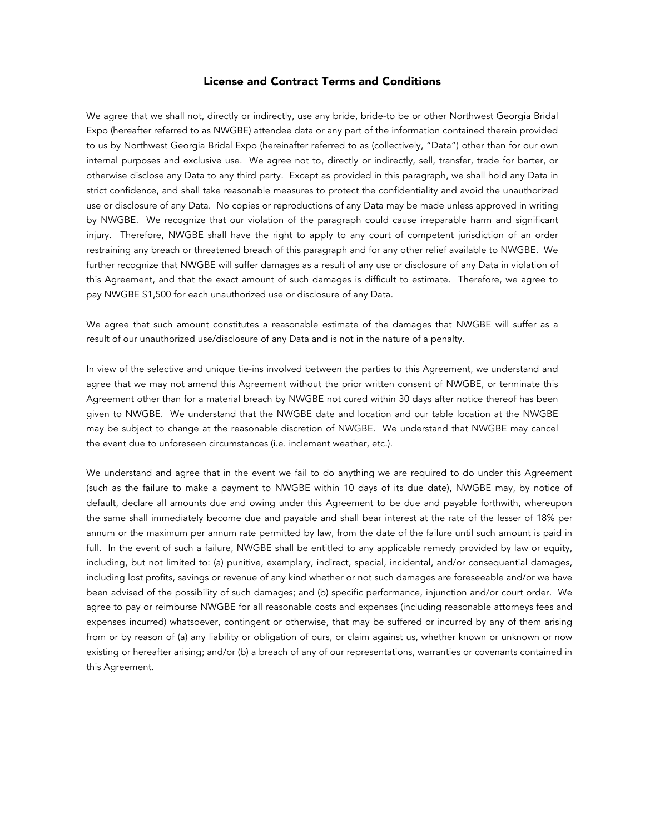#### License and Contract Terms and Conditions

We agree that we shall not, directly or indirectly, use any bride, bride-to be or other Northwest Georgia Bridal Expo (hereafter referred to as NWGBE) attendee data or any part of the information contained therein provided to us by Northwest Georgia Bridal Expo (hereinafter referred to as (collectively, "Data") other than for our own internal purposes and exclusive use. We agree not to, directly or indirectly, sell, transfer, trade for barter, or otherwise disclose any Data to any third party. Except as provided in this paragraph, we shall hold any Data in strict confidence, and shall take reasonable measures to protect the confidentiality and avoid the unauthorized use or disclosure of any Data. No copies or reproductions of any Data may be made unless approved in writing by NWGBE. We recognize that our violation of the paragraph could cause irreparable harm and significant injury. Therefore, NWGBE shall have the right to apply to any court of competent jurisdiction of an order restraining any breach or threatened breach of this paragraph and for any other relief available to NWGBE. We further recognize that NWGBE will suffer damages as a result of any use or disclosure of any Data in violation of this Agreement, and that the exact amount of such damages is difficult to estimate. Therefore, we agree to pay NWGBE \$1,500 for each unauthorized use or disclosure of any Data.

We agree that such amount constitutes a reasonable estimate of the damages that NWGBE will suffer as a result of our unauthorized use/disclosure of any Data and is not in the nature of a penalty.

In view of the selective and unique tie-ins involved between the parties to this Agreement, we understand and agree that we may not amend this Agreement without the prior written consent of NWGBE, or terminate this Agreement other than for a material breach by NWGBE not cured within 30 days after notice thereof has been given to NWGBE. We understand that the NWGBE date and location and our table location at the NWGBE may be subject to change at the reasonable discretion of NWGBE. We understand that NWGBE may cancel the event due to unforeseen circumstances (i.e. inclement weather, etc.).

We understand and agree that in the event we fail to do anything we are required to do under this Agreement (such as the failure to make a payment to NWGBE within 10 days of its due date), NWGBE may, by notice of default, declare all amounts due and owing under this Agreement to be due and payable forthwith, whereupon the same shall immediately become due and payable and shall bear interest at the rate of the lesser of 18% per annum or the maximum per annum rate permitted by law, from the date of the failure until such amount is paid in full. In the event of such a failure, NWGBE shall be entitled to any applicable remedy provided by law or equity, including, but not limited to: (a) punitive, exemplary, indirect, special, incidental, and/or consequential damages, including lost profits, savings or revenue of any kind whether or not such damages are foreseeable and/or we have been advised of the possibility of such damages; and (b) specific performance, injunction and/or court order. We agree to pay or reimburse NWGBE for all reasonable costs and expenses (including reasonable attorneys fees and expenses incurred) whatsoever, contingent or otherwise, that may be suffered or incurred by any of them arising from or by reason of (a) any liability or obligation of ours, or claim against us, whether known or unknown or now existing or hereafter arising; and/or (b) a breach of any of our representations, warranties or covenants contained in this Agreement.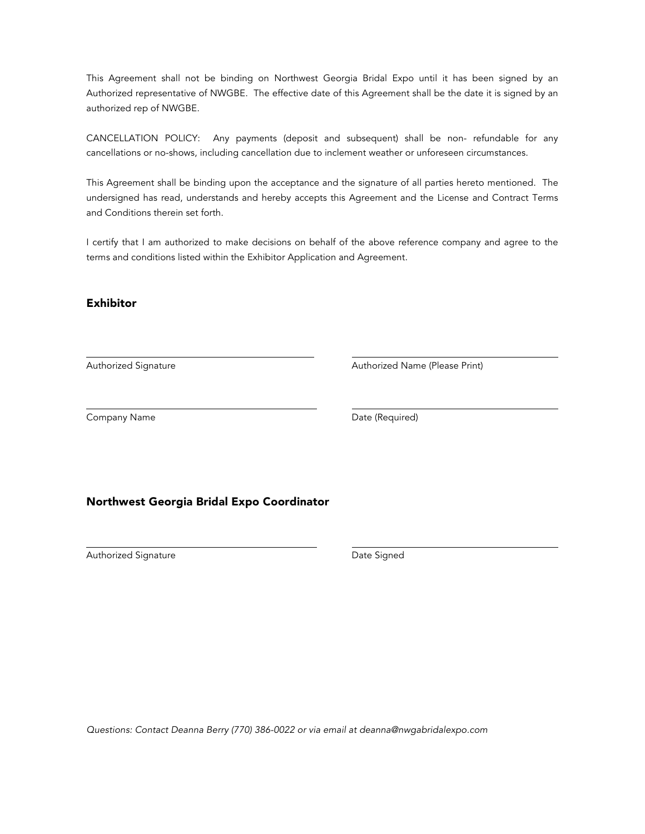This Agreement shall not be binding on Northwest Georgia Bridal Expo until it has been signed by an Authorized representative of NWGBE. The effective date of this Agreement shall be the date it is signed by an authorized rep of NWGBE.

CANCELLATION POLICY: Any payments (deposit and subsequent) shall be non- refundable for any cancellations or no-shows, including cancellation due to inclement weather or unforeseen circumstances.

This Agreement shall be binding upon the acceptance and the signature of all parties hereto mentioned. The undersigned has read, understands and hereby accepts this Agreement and the License and Contract Terms and Conditions therein set forth.

I certify that I am authorized to make decisions on behalf of the above reference company and agree to the terms and conditions listed within the Exhibitor Application and Agreement.

### Exhibitor

Authorized Signature **Authorized Name (Please Print)** Authorized Name (Please Print)

Company Name **Date (Required)** 

#### Northwest Georgia Bridal Expo Coordinator

Authorized Signature **Date Signed** 

*Questions: Contact Deanna Berry* (770) 386-0022 *or via email at deanna@*nwgabridalexpo*.com*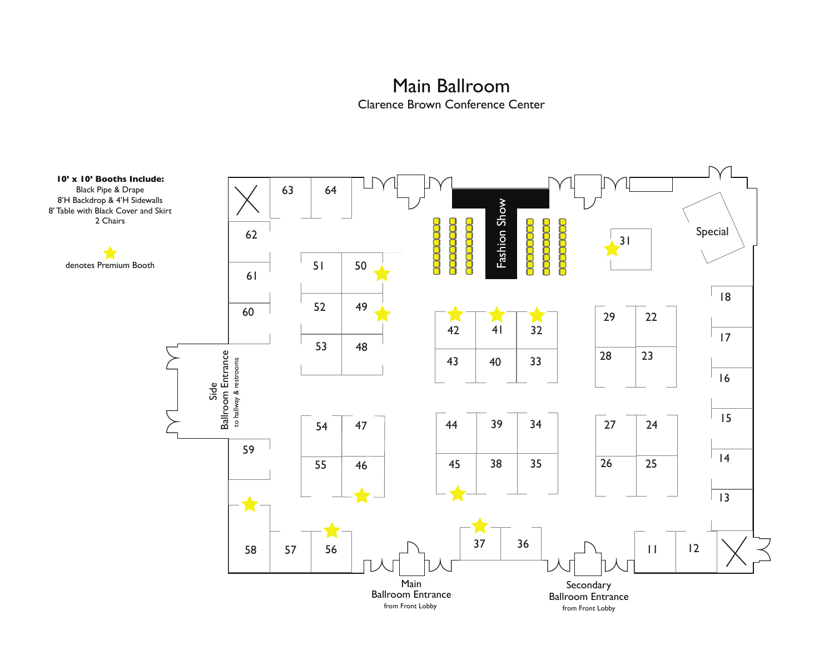# Main Ballroom Clarence Brown Conference Center

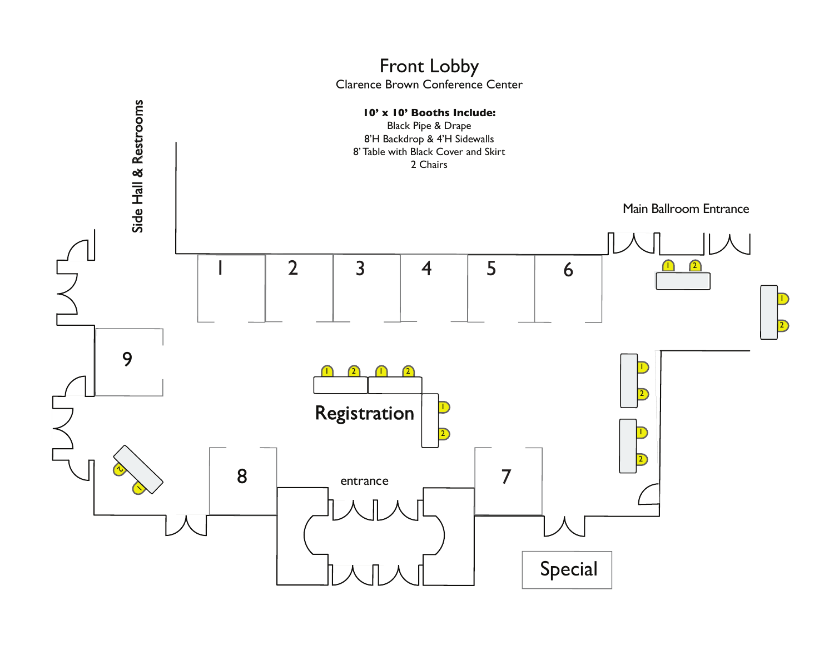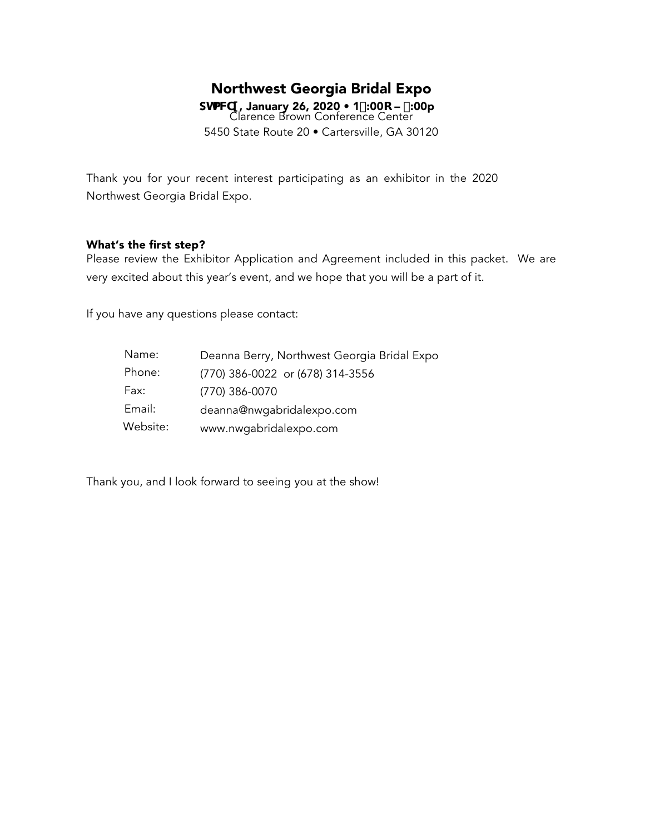# Northwest Georgia Bridal Expo

ShaWI , January 26, 2020 • 1%00c – (:00p Clarence Brown Conference Center 5450 State Route 20 • Cartersville, GA 30120

Thank you for your recent interest participating as an exhibitor in the 2020 Northwest Georgia Bridal Expo.

### What's the first step?

Please review the Exhibitor Application and Agreement included in this packet. We are very excited about this year's event, and we hope that you will be a part of it.

If you have any questions please contact:

| Name:    | Deanna Berry, Northwest Georgia Bridal Expo |
|----------|---------------------------------------------|
| Phone:   | (770) 386-0022 or (678) 314-3556            |
| Fax:     | (770) 386-0070                              |
| Email:   | deanna@nwgabridalexpo.com                   |
| Website: | www.nwgabridalexpo.com                      |

Thank you, and I look forward to seeing you at the show!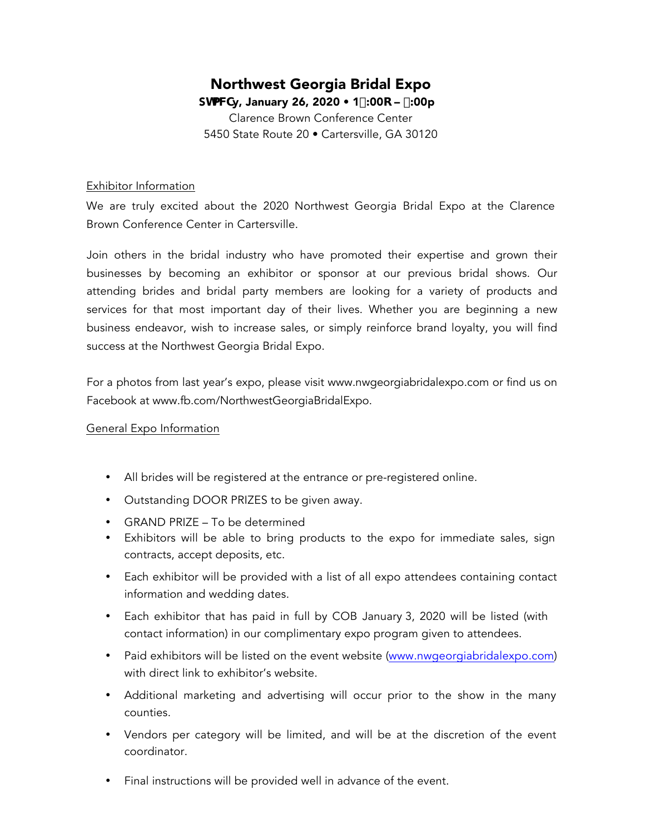# Northwest Georgia Bridal Expo

ShaWy, January 26, 2020 • 1%00 $c -$  (:00p Clarence Brown Conference Center 5450 State Route 20 • Cartersville, GA 30120

### Exhibitor Information

We are truly excited about the 2020 Northwest Georgia Bridal Expo at the Clarence Brown Conference Center in Cartersville.

Join others in the bridal industry who have promoted their expertise and grown their businesses by becoming an exhibitor or sponsor at our previous bridal shows. Our attending brides and bridal party members are looking for a variety of products and services for that most important day of their lives. Whether you are beginning a new business endeavor, wish to increase sales, or simply reinforce brand loyalty, you will find success at the Northwest Georgia Bridal Expo.

For a photos from last year's expo, please visit www.nwgeorgiabridalexpo.com or find us on Facebook at www.fb.com/NorthwestGeorgiaBridalExpo.

## General Expo Information

- All brides will be registered at the entrance or pre-registered online.
- Outstanding DOOR PRIZES to be given away.
- GRAND PRIZE To be determined
- Exhibitors will be able to bring products to the expo for immediate sales, sign contracts, accept deposits, etc.
- Each exhibitor will be provided with a list of all expo attendees containing contact information and wedding dates.
- Each exhibitor that has paid in full by COB January 3, 2020 will be listed (with contact information) in our complimentary expo program given to attendees.
- Paid exhibitors will be listed on the event website (www.nwgeorgiabridalexpo.com) with direct link to exhibitor's website.
- Additional marketing and advertising will occur prior to the show in the many counties.
- Vendors per category will be limited, and will be at the discretion of the event coordinator.
- Final instructions will be provided well in advance of the event.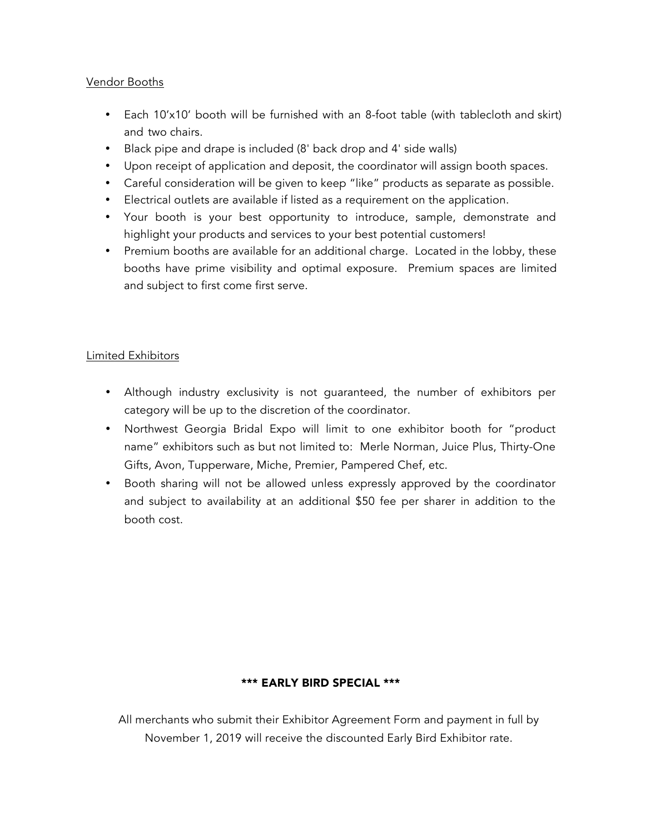## Vendor Booths

- Each 10'x10' booth will be furnished with an 8-foot table (with tablecloth and skirt) and two chairs.
- Black pipe and drape is included (8' back drop and 4' side walls)
- Upon receipt of application and deposit, the coordinator will assign booth spaces.
- Careful consideration will be given to keep "like" products as separate as possible.
- Electrical outlets are available if listed as a requirement on the application.
- Your booth is your best opportunity to introduce, sample, demonstrate and highlight your products and services to your best potential customers!
- Premium booths are available for an additional charge. Located in the lobby, these booths have prime visibility and optimal exposure. Premium spaces are limited and subject to first come first serve.

## Limited Exhibitors

- Although industry exclusivity is not guaranteed, the number of exhibitors per category will be up to the discretion of the coordinator.
- Northwest Georgia Bridal Expo will limit to one exhibitor booth for "product name" exhibitors such as but not limited to: Merle Norman, Juice Plus, Thirty-One Gifts, Avon, Tupperware, Miche, Premier, Pampered Chef, etc.
- Booth sharing will not be allowed unless expressly approved by the coordinator and subject to availability at an additional \$50 fee per sharer in addition to the booth cost.

## \*\*\* EARLY BIRD SPECIAL \*\*\*

All merchants who submit their Exhibitor Agreement Form and payment in full by November 1, 2019 will receive the discounted Early Bird Exhibitor rate.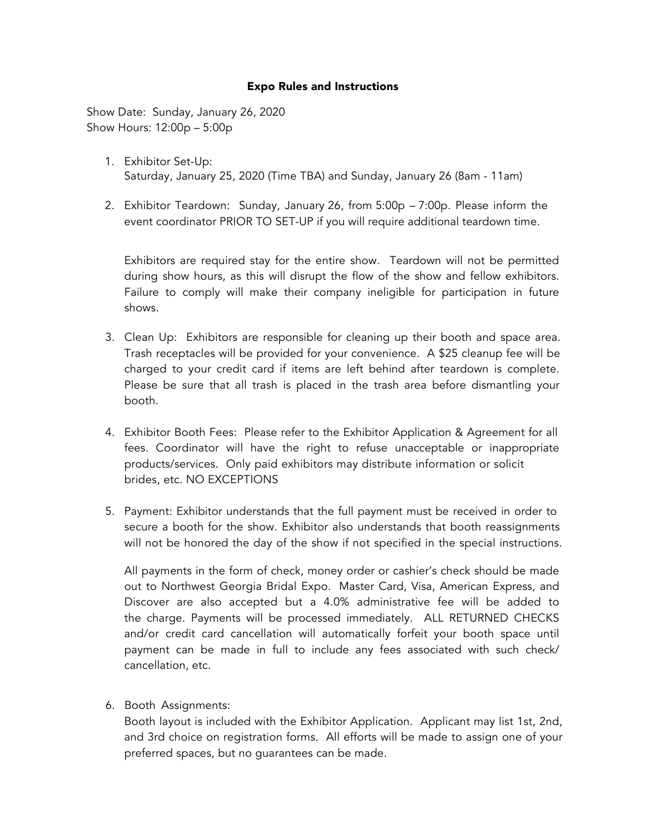### Expo Rules and Instructions

Show Date: Sunday, January 26, 2020 Show Hours: 12:00p – 5:00p

- 1. Exhibitor Set-Up: Saturday, January 25, 2020 (Time TBA) and Sunday, January 26 (8am - 11am)
- 2. Exhibitor Teardown: Sunday, January 26, from 5:00p 7:00p. Please inform the event coordinator PRIOR TO SET-UP if you will require additional teardown time.

Exhibitors are required stay for the entire show. Teardown will not be permitted during show hours, as this will disrupt the flow of the show and fellow exhibitors. Failure to comply will make their company ineligible for participation in future shows.

- 3. Clean Up: Exhibitors are responsible for cleaning up their booth and space area. Trash receptacles will be provided for your convenience. A \$25 cleanup fee will be charged to your credit card if items are left behind after teardown is complete. Please be sure that all trash is placed in the trash area before dismantling your booth.
- 4. Exhibitor Booth Fees: Please refer to the Exhibitor Application & Agreement for all fees. Coordinator will have the right to refuse unacceptable or inappropriate products/services. Only paid exhibitors may distribute information or solicit brides, etc. NO EXCEPTIONS
- 5. Payment: Exhibitor understands that the full payment must be received in order to secure a booth for the show. Exhibitor also understands that booth reassignments will not be honored the day of the show if not specified in the special instructions.

All payments in the form of check, money order or cashier's check should be made out to Northwest Georgia Bridal Expo. Master Card, Visa, American Express, and Discover are also accepted but a 4.0% administrative fee will be added to the charge. Payments will be processed immediately. ALL RETURNED CHECKS and/or credit card cancellation will automatically forfeit your booth space until payment can be made in full to include any fees associated with such check/ cancellation, etc.

6. Booth Assignments:

Booth layout is included with the Exhibitor Application. Applicant may list 1st, 2nd, and 3rd choice on registration forms. All efforts will be made to assign one of your preferred spaces, but no guarantees can be made.